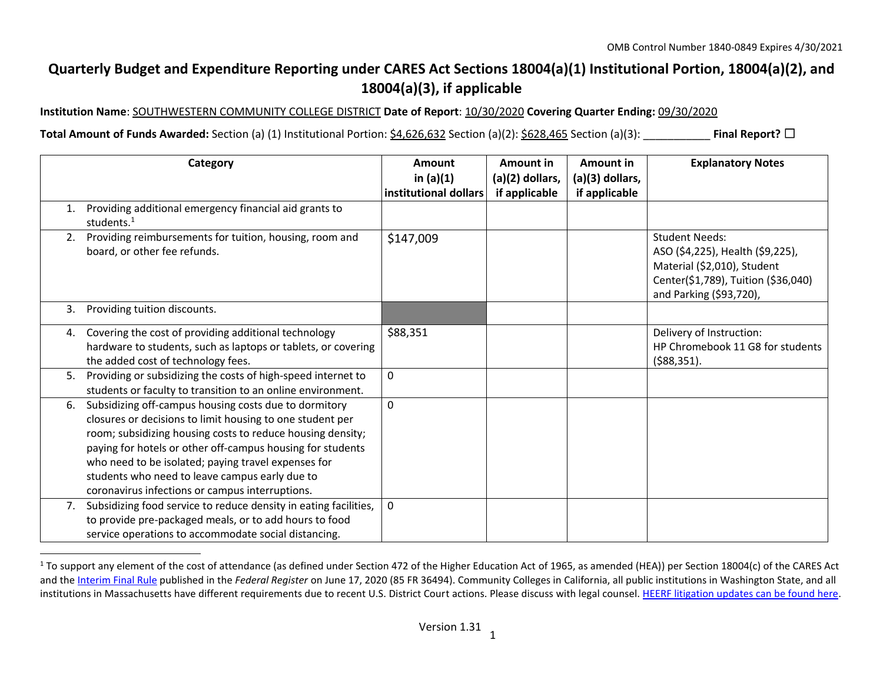## **Quarterly Budget and Expenditure Reporting under CARES Act Sections 18004(a)(1) Institutional Portion, 18004(a)(2), and 18004(a)(3), if applicable**

**Institution Name**: SOUTHWESTERN COMMUNITY COLLEGE DISTRICT **Date of Report**: 10/30/2020 **Covering Quarter Ending:** 09/30/2020

**Total Amount of Funds Awarded:** Section (a) (1) Institutional Portion: \$4,626,632 Section (a)(2): \$628,465 Section (a)(3): \_\_\_\_\_\_\_\_\_\_\_ **Final Report?** ☐

|    | Category                                                                                                                                                                                                                                                                                                                                                                                                   | Amount                               | <b>Amount in</b>                 | Amount in                        | <b>Explanatory Notes</b>                                                                                                                                   |
|----|------------------------------------------------------------------------------------------------------------------------------------------------------------------------------------------------------------------------------------------------------------------------------------------------------------------------------------------------------------------------------------------------------------|--------------------------------------|----------------------------------|----------------------------------|------------------------------------------------------------------------------------------------------------------------------------------------------------|
|    |                                                                                                                                                                                                                                                                                                                                                                                                            | in $(a)(1)$<br>institutional dollars | (a)(2) dollars,<br>if applicable | (a)(3) dollars,<br>if applicable |                                                                                                                                                            |
| 1. | Providing additional emergency financial aid grants to<br>students. $1$                                                                                                                                                                                                                                                                                                                                    |                                      |                                  |                                  |                                                                                                                                                            |
| 2. | Providing reimbursements for tuition, housing, room and<br>board, or other fee refunds.                                                                                                                                                                                                                                                                                                                    | \$147,009                            |                                  |                                  | <b>Student Needs:</b><br>ASO (\$4,225), Health (\$9,225),<br>Material (\$2,010), Student<br>Center(\$1,789), Tuition (\$36,040)<br>and Parking (\$93,720), |
| 3. | Providing tuition discounts.                                                                                                                                                                                                                                                                                                                                                                               |                                      |                                  |                                  |                                                                                                                                                            |
| 4. | Covering the cost of providing additional technology<br>hardware to students, such as laptops or tablets, or covering<br>the added cost of technology fees.                                                                                                                                                                                                                                                | \$88,351                             |                                  |                                  | Delivery of Instruction:<br>HP Chromebook 11 G8 for students<br>( \$88, 351).                                                                              |
| 5. | Providing or subsidizing the costs of high-speed internet to<br>students or faculty to transition to an online environment.                                                                                                                                                                                                                                                                                | $\mathbf 0$                          |                                  |                                  |                                                                                                                                                            |
| 6. | Subsidizing off-campus housing costs due to dormitory<br>closures or decisions to limit housing to one student per<br>room; subsidizing housing costs to reduce housing density;<br>paying for hotels or other off-campus housing for students<br>who need to be isolated; paying travel expenses for<br>students who need to leave campus early due to<br>coronavirus infections or campus interruptions. | $\Omega$                             |                                  |                                  |                                                                                                                                                            |
| 7. | Subsidizing food service to reduce density in eating facilities,<br>to provide pre-packaged meals, or to add hours to food<br>service operations to accommodate social distancing.                                                                                                                                                                                                                         | $\mathbf 0$                          |                                  |                                  |                                                                                                                                                            |

 $1$  To support any element of the cost of attendance (as defined under Section 472 of the Higher Education Act of 1965, as amended (HEA)) per Section 18004(c) of the CARES Act and th[e Interim Final Rule](https://www.federalregister.gov/documents/2020/06/17/2020-12965/eligibility-of-students-at-institutions-of-higher-education-for-funds-under-the-coronavirus-aid) published in the *Federal Register* on June 17, 2020 (85 FR 36494). Community Colleges in California, all public institutions in Washington State, and all institutions in Massachusetts have different requirements due to recent U.S. District Court actions. Please discuss with legal counsel[. HEERF litigation updates can be found here.](https://www2.ed.gov/about/offices/list/ope/heerfupdates.html)

 $\overline{a}$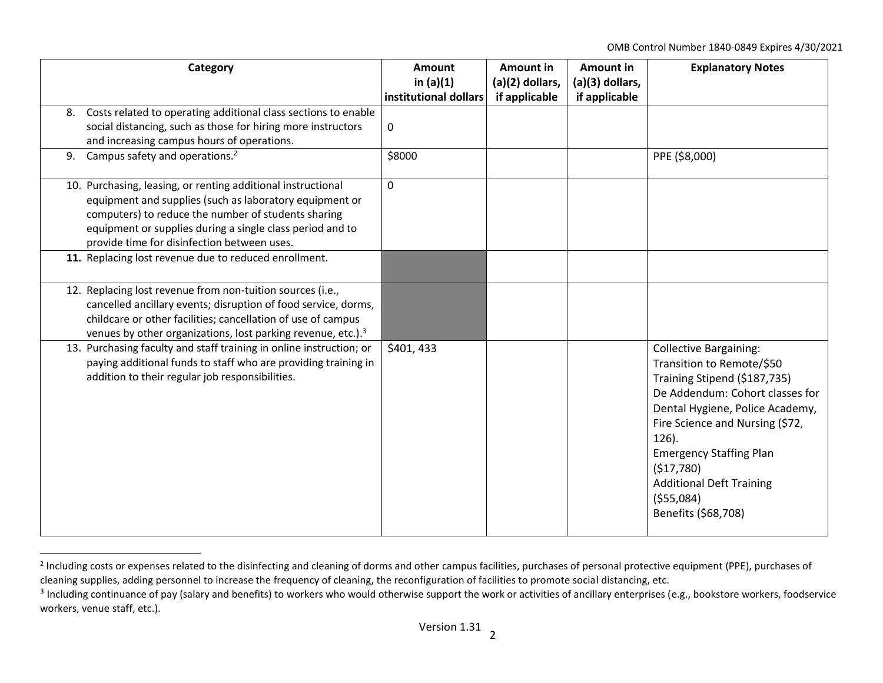OMB Control Number 1840-0849 Expires 4/30/2021

|    | Category                                                                                                                                                                                                                                                                                   | <b>Amount</b><br>in $(a)(1)$<br>institutional dollars | <b>Amount in</b><br>(a)(2) dollars,<br>if applicable | <b>Amount in</b><br>(a)(3) dollars,<br>if applicable | <b>Explanatory Notes</b>                                                                                                                                                                                                                                                                                                                 |
|----|--------------------------------------------------------------------------------------------------------------------------------------------------------------------------------------------------------------------------------------------------------------------------------------------|-------------------------------------------------------|------------------------------------------------------|------------------------------------------------------|------------------------------------------------------------------------------------------------------------------------------------------------------------------------------------------------------------------------------------------------------------------------------------------------------------------------------------------|
| 8. | Costs related to operating additional class sections to enable<br>social distancing, such as those for hiring more instructors<br>and increasing campus hours of operations.                                                                                                               | 0                                                     |                                                      |                                                      |                                                                                                                                                                                                                                                                                                                                          |
|    | 9. Campus safety and operations. <sup>2</sup>                                                                                                                                                                                                                                              | \$8000                                                |                                                      |                                                      | PPE (\$8,000)                                                                                                                                                                                                                                                                                                                            |
|    | 10. Purchasing, leasing, or renting additional instructional<br>equipment and supplies (such as laboratory equipment or<br>computers) to reduce the number of students sharing<br>equipment or supplies during a single class period and to<br>provide time for disinfection between uses. | $\Omega$                                              |                                                      |                                                      |                                                                                                                                                                                                                                                                                                                                          |
|    | 11. Replacing lost revenue due to reduced enrollment.                                                                                                                                                                                                                                      |                                                       |                                                      |                                                      |                                                                                                                                                                                                                                                                                                                                          |
|    | 12. Replacing lost revenue from non-tuition sources (i.e.,<br>cancelled ancillary events; disruption of food service, dorms,<br>childcare or other facilities; cancellation of use of campus<br>venues by other organizations, lost parking revenue, etc.). <sup>3</sup>                   |                                                       |                                                      |                                                      |                                                                                                                                                                                                                                                                                                                                          |
|    | 13. Purchasing faculty and staff training in online instruction; or<br>paying additional funds to staff who are providing training in<br>addition to their regular job responsibilities.                                                                                                   | \$401,433                                             |                                                      |                                                      | <b>Collective Bargaining:</b><br>Transition to Remote/\$50<br>Training Stipend (\$187,735)<br>De Addendum: Cohort classes for<br>Dental Hygiene, Police Academy,<br>Fire Science and Nursing (\$72,<br>$126$ ).<br><b>Emergency Staffing Plan</b><br>(\$17,780)<br><b>Additional Deft Training</b><br>( \$55,084)<br>Benefits (\$68,708) |

<sup>&</sup>lt;sup>2</sup> Including costs or expenses related to the disinfecting and cleaning of dorms and other campus facilities, purchases of personal protective equipment (PPE), purchases of cleaning supplies, adding personnel to increase the frequency of cleaning, the reconfiguration of facilities to promote social distancing, etc.

 $\overline{a}$ 

 $^3$  Including continuance of pay (salary and benefits) to workers who would otherwise support the work or activities of ancillary enterprises (e.g., bookstore workers, foodservice workers, venue staff, etc.).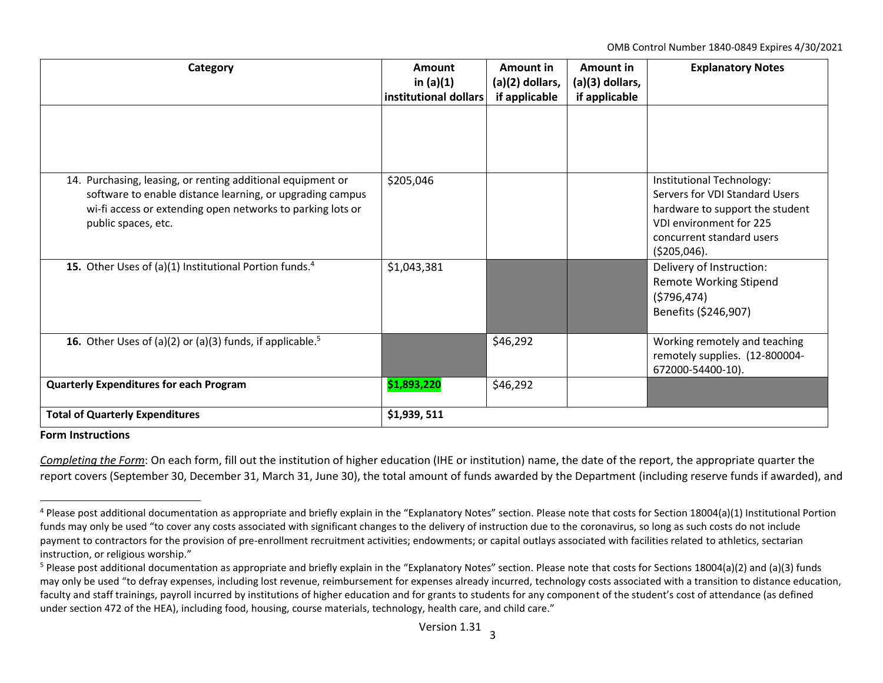OMB Control Number 1840-0849 Expires 4/30/2021

| Category                                                                                                                                                                                                      | Amount<br>in $(a)(1)$<br>institutional dollars | Amount in<br>(a)(2) dollars,<br>if applicable | Amount in<br>(a)(3) dollars,<br>if applicable | <b>Explanatory Notes</b>                                                                                                                                              |  |
|---------------------------------------------------------------------------------------------------------------------------------------------------------------------------------------------------------------|------------------------------------------------|-----------------------------------------------|-----------------------------------------------|-----------------------------------------------------------------------------------------------------------------------------------------------------------------------|--|
|                                                                                                                                                                                                               |                                                |                                               |                                               |                                                                                                                                                                       |  |
| 14. Purchasing, leasing, or renting additional equipment or<br>software to enable distance learning, or upgrading campus<br>wi-fi access or extending open networks to parking lots or<br>public spaces, etc. | \$205,046                                      |                                               |                                               | Institutional Technology:<br>Servers for VDI Standard Users<br>hardware to support the student<br>VDI environment for 225<br>concurrent standard users<br>(5205,046). |  |
| 15. Other Uses of (a)(1) Institutional Portion funds. <sup>4</sup>                                                                                                                                            | \$1,043,381                                    |                                               |                                               | Delivery of Instruction:<br><b>Remote Working Stipend</b><br>(5796, 474)<br>Benefits (\$246,907)                                                                      |  |
| <b>16.</b> Other Uses of (a)(2) or (a)(3) funds, if applicable. <sup>5</sup>                                                                                                                                  |                                                | \$46,292                                      |                                               | Working remotely and teaching<br>remotely supplies. (12-800004-<br>672000-54400-10).                                                                                  |  |
| <b>Quarterly Expenditures for each Program</b>                                                                                                                                                                | \$1,893,220                                    | \$46,292                                      |                                               |                                                                                                                                                                       |  |
| <b>Total of Quarterly Expenditures</b>                                                                                                                                                                        | \$1,939,511                                    |                                               |                                               |                                                                                                                                                                       |  |

## **Form Instructions**

 $\overline{a}$ 

*Completing the Form*: On each form, fill out the institution of higher education (IHE or institution) name, the date of the report, the appropriate quarter the report covers (September 30, December 31, March 31, June 30), the total amount of funds awarded by the Department (including reserve funds if awarded), and

 $4$  Please post additional documentation as appropriate and briefly explain in the "Explanatory Notes" section. Please note that costs for Section 18004(a)(1) Institutional Portion funds may only be used "to cover any costs associated with significant changes to the delivery of instruction due to the coronavirus, so long as such costs do not include payment to contractors for the provision of pre-enrollment recruitment activities; endowments; or capital outlays associated with facilities related to athletics, sectarian instruction, or religious worship."

<sup>&</sup>lt;sup>5</sup> Please post additional documentation as appropriate and briefly explain in the "Explanatory Notes" section. Please note that costs for Sections 18004(a)(2) and (a)(3) funds may only be used "to defray expenses, including lost revenue, reimbursement for expenses already incurred, technology costs associated with a transition to distance education, faculty and staff trainings, payroll incurred by institutions of higher education and for grants to students for any component of the student's cost of attendance (as defined under section 472 of the HEA), including food, housing, course materials, technology, health care, and child care."